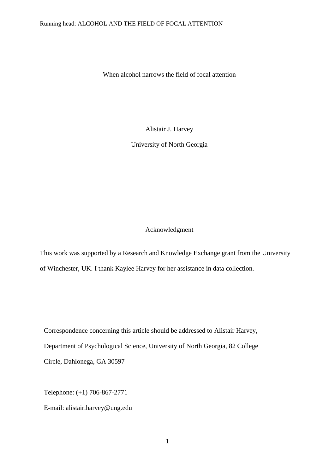When alcohol narrows the field of focal attention

Alistair J. Harvey

University of North Georgia

# Acknowledgment

This work was supported by a Research and Knowledge Exchange grant from the University of Winchester, UK. I thank Kaylee Harvey for her assistance in data collection.

Correspondence concerning this article should be addressed to Alistair Harvey, Department of Psychological Science, University of North Georgia, 82 College Circle, Dahlonega, GA 30597

Telephone: (+1) 706-867-2771

E-mail: alistair.harvey@ung.edu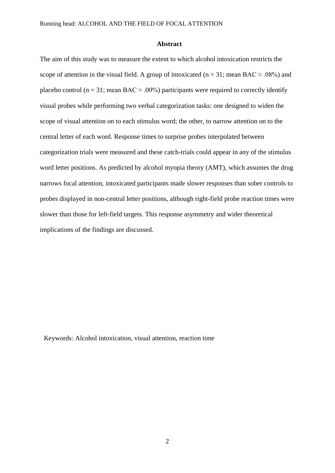#### **Abstract**

The aim of this study was to measure the extent to which alcohol intoxication restricts the scope of attention in the visual field. A group of intoxicated (n = 31; mean BAC  $\approx$  .08%) and placebo control (n = 31; mean BAC  $\approx$  .00%) participants were required to correctly identify visual probes while performing two verbal categorization tasks: one designed to widen the scope of visual attention on to each stimulus word; the other, to narrow attention on to the central letter of each word. Response times to surprise probes interpolated between categorization trials were measured and these catch-trials could appear in any of the stimulus word letter positions. As predicted by alcohol myopia theory (AMT), which assumes the drug narrows focal attention, intoxicated participants made slower responses than sober controls to probes displayed in non-central letter positions, although right-field probe reaction times were slower than those for left-field targets. This response asymmetry and wider theoretical implications of the findings are discussed.

Keywords: Alcohol intoxication, visual attention, reaction time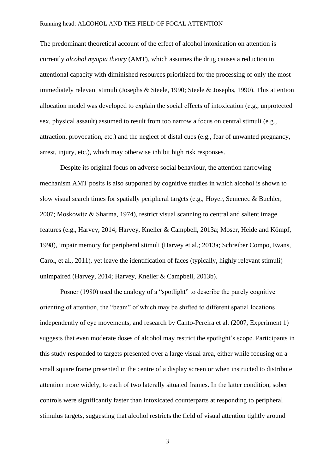The predominant theoretical account of the effect of alcohol intoxication on attention is currently *alcohol myopia theory* (AMT), which assumes the drug causes a reduction in attentional capacity with diminished resources prioritized for the processing of only the most immediately relevant stimuli (Josephs & Steele, 1990; Steele & Josephs, 1990). This attention allocation model was developed to explain the social effects of intoxication (e.g., unprotected sex, physical assault) assumed to result from too narrow a focus on central stimuli (e.g., attraction, provocation, etc.) and the neglect of distal cues (e.g., fear of unwanted pregnancy, arrest, injury, etc.), which may otherwise inhibit high risk responses.

Despite its original focus on adverse social behaviour, the attention narrowing mechanism AMT posits is also supported by cognitive studies in which alcohol is shown to slow visual search times for spatially peripheral targets (e.g., Hoyer, Semenec & Buchler, 2007; Moskowitz & Sharma, 1974), restrict visual scanning to central and salient image features (e.g., Harvey, 2014; Harvey, Kneller & Campbell, 2013a; Moser, Heide and Kömpf, 1998), impair memory for peripheral stimuli (Harvey et al.; 2013a; Schreiber Compo, Evans, Carol, et al., 2011), yet leave the identification of faces (typically, highly relevant stimuli) unimpaired (Harvey, 2014; Harvey, Kneller & Campbell, 2013b).

Posner (1980) used the analogy of a "spotlight" to describe the purely cognitive orienting of attention, the "beam" of which may be shifted to different spatial locations independently of eye movements, and research by Canto-Pereira et al. (2007, Experiment 1) suggests that even moderate doses of alcohol may restrict the spotlight's scope. Participants in this study responded to targets presented over a large visual area, either while focusing on a small square frame presented in the centre of a display screen or when instructed to distribute attention more widely, to each of two laterally situated frames. In the latter condition, sober controls were significantly faster than intoxicated counterparts at responding to peripheral stimulus targets, suggesting that alcohol restricts the field of visual attention tightly around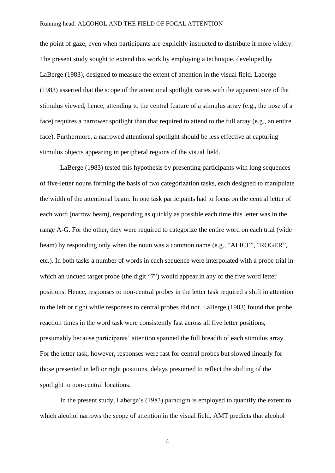the point of gaze, even when participants are explicitly instructed to distribute it more widely. The present study sought to extend this work by employing a technique, developed by LaBerge (1983), designed to measure the extent of attention in the visual field. Laberge (1983) asserted that the scope of the attentional spotlight varies with the apparent size of the stimulus viewed, hence, attending to the central feature of a stimulus array (e.g., the nose of a face) requires a narrower spotlight than that required to attend to the full array (e.g., an entire face). Furthermore, a narrowed attentional spotlight should be less effective at capturing stimulus objects appearing in peripheral regions of the visual field.

LaBerge (1983) tested this hypothesis by presenting participants with long sequences of five-letter nouns forming the basis of two categorization tasks, each designed to manipulate the width of the attentional beam. In one task participants had to focus on the central letter of each word (narrow beam), responding as quickly as possible each time this letter was in the range A-G. For the other, they were required to categorize the entire word on each trial (wide beam) by responding only when the noun was a common name (e.g., "ALICE", "ROGER", etc.). In both tasks a number of words in each sequence were interpolated with a probe trial in which an uncued target probe (the digit "7") would appear in any of the five word letter positions. Hence, responses to non-central probes in the letter task required a shift in attention to the left or right while responses to central probes did not. LaBerge (1983) found that probe reaction times in the word task were consistently fast across all five letter positions, presumably because participants' attention spanned the full breadth of each stimulus array. For the letter task, however, responses were fast for central probes but slowed linearly for those presented in left or right positions, delays presumed to reflect the shifting of the spotlight to non-central locations.

In the present study, Laberge's (1983) paradigm is employed to quantify the extent to which alcohol narrows the scope of attention in the visual field. AMT predicts that alcohol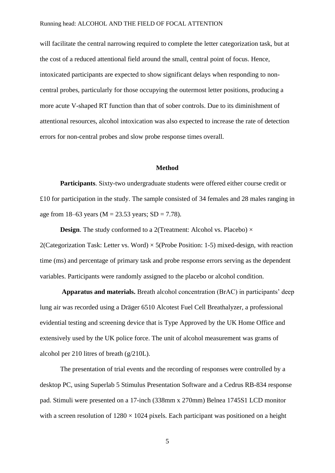will facilitate the central narrowing required to complete the letter categorization task, but at the cost of a reduced attentional field around the small, central point of focus. Hence, intoxicated participants are expected to show significant delays when responding to noncentral probes, particularly for those occupying the outermost letter positions, producing a more acute V-shaped RT function than that of sober controls. Due to its diminishment of attentional resources, alcohol intoxication was also expected to increase the rate of detection errors for non-central probes and slow probe response times overall.

#### **Method**

**Participants**. Sixty-two undergraduate students were offered either course credit or £10 for participation in the study. The sample consisted of 34 females and 28 males ranging in age from 18–63 years ( $M = 23.53$  years;  $SD = 7.78$ ).

**Design.** The study conformed to a 2(Treatment: Alcohol vs. Placebo)  $\times$ 2(Categorization Task: Letter vs. Word)  $\times$  5(Probe Position: 1-5) mixed-design, with reaction time (ms) and percentage of primary task and probe response errors serving as the dependent variables. Participants were randomly assigned to the placebo or alcohol condition.

**Apparatus and materials.** Breath alcohol concentration (BrAC) in participants' deep lung air was recorded using a Dräger 6510 Alcotest Fuel Cell Breathalyzer, a professional evidential testing and screening device that is Type Approved by the UK Home Office and extensively used by the UK police force. The unit of alcohol measurement was grams of alcohol per 210 litres of breath (g/210L).

The presentation of trial events and the recording of responses were controlled by a desktop PC, using Superlab 5 Stimulus Presentation Software and a Cedrus RB-834 response pad. Stimuli were presented on a 17-inch (338mm x 270mm) Belnea 1745S1 LCD monitor with a screen resolution of  $1280 \times 1024$  pixels. Each participant was positioned on a height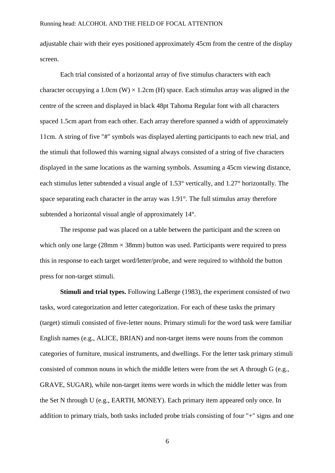adjustable chair with their eyes positioned approximately 45cm from the centre of the display screen.

Each trial consisted of a horizontal array of five stimulus characters with each character occupying a 1.0cm (W)  $\times$  1.2cm (H) space. Each stimulus array was aligned in the centre of the screen and displayed in black 48pt Tahoma Regular font with all characters spaced 1.5cm apart from each other. Each array therefore spanned a width of approximately 11cm. A string of five "#" symbols was displayed alerting participants to each new trial, and the stimuli that followed this warning signal always consisted of a string of five characters displayed in the same locations as the warning symbols. Assuming a 45cm viewing distance, each stimulus letter subtended a visual angle of 1.53° vertically, and 1.27° horizontally. The space separating each character in the array was 1.91°. The full stimulus array therefore subtended a horizontal visual angle of approximately 14°.

The response pad was placed on a table between the participant and the screen on which only one large ( $28 \text{mm} \times 38 \text{mm}$ ) button was used. Participants were required to press this in response to each target word/letter/probe, and were required to withhold the button press for non-target stimuli.

**Stimuli and trial types.** Following LaBerge (1983), the experiment consisted of two tasks, word categorization and letter categorization. For each of these tasks the primary (target) stimuli consisted of five-letter nouns. Primary stimuli for the word task were familiar English names (e.g., ALICE, BRIAN) and non-target items were nouns from the common categories of furniture, musical instruments, and dwellings. For the letter task primary stimuli consisted of common nouns in which the middle letters were from the set A through G (e.g., GRAVE, SUGAR), while non-target items were words in which the middle letter was from the Set N through U (e.g., EARTH, MONEY). Each primary item appeared only once. In addition to primary trials, both tasks included probe trials consisting of four "+" signs and one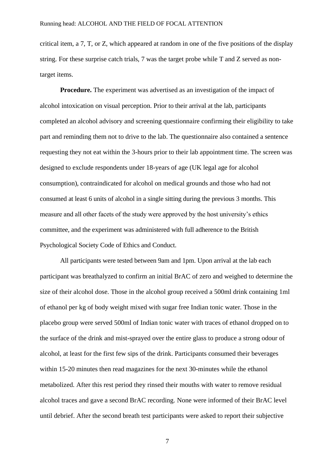critical item, a 7, T, or Z, which appeared at random in one of the five positions of the display string. For these surprise catch trials, 7 was the target probe while T and Z served as nontarget items.

**Procedure.** The experiment was advertised as an investigation of the impact of alcohol intoxication on visual perception. Prior to their arrival at the lab, participants completed an alcohol advisory and screening questionnaire confirming their eligibility to take part and reminding them not to drive to the lab. The questionnaire also contained a sentence requesting they not eat within the 3-hours prior to their lab appointment time. The screen was designed to exclude respondents under 18-years of age (UK legal age for alcohol consumption), contraindicated for alcohol on medical grounds and those who had not consumed at least 6 units of alcohol in a single sitting during the previous 3 months. This measure and all other facets of the study were approved by the host university's ethics committee, and the experiment was administered with full adherence to the British Psychological Society Code of Ethics and Conduct.

All participants were tested between 9am and 1pm. Upon arrival at the lab each participant was breathalyzed to confirm an initial BrAC of zero and weighed to determine the size of their alcohol dose. Those in the alcohol group received a 500ml drink containing 1ml of ethanol per kg of body weight mixed with sugar free Indian tonic water. Those in the placebo group were served 500ml of Indian tonic water with traces of ethanol dropped on to the surface of the drink and mist-sprayed over the entire glass to produce a strong odour of alcohol, at least for the first few sips of the drink. Participants consumed their beverages within 15-20 minutes then read magazines for the next 30-minutes while the ethanol metabolized. After this rest period they rinsed their mouths with water to remove residual alcohol traces and gave a second BrAC recording. None were informed of their BrAC level until debrief. After the second breath test participants were asked to report their subjective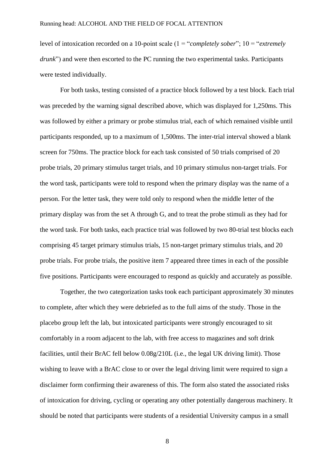level of intoxication recorded on a 10-point scale (1 = "*completely sober*"; 10 = "*extremely drunk*") and were then escorted to the PC running the two experimental tasks. Participants were tested individually.

For both tasks, testing consisted of a practice block followed by a test block. Each trial was preceded by the warning signal described above, which was displayed for 1,250ms. This was followed by either a primary or probe stimulus trial, each of which remained visible until participants responded, up to a maximum of 1,500ms. The inter-trial interval showed a blank screen for 750ms. The practice block for each task consisted of 50 trials comprised of 20 probe trials, 20 primary stimulus target trials, and 10 primary stimulus non-target trials. For the word task, participants were told to respond when the primary display was the name of a person. For the letter task, they were told only to respond when the middle letter of the primary display was from the set A through G, and to treat the probe stimuli as they had for the word task. For both tasks, each practice trial was followed by two 80-trial test blocks each comprising 45 target primary stimulus trials, 15 non-target primary stimulus trials, and 20 probe trials. For probe trials, the positive item 7 appeared three times in each of the possible five positions. Participants were encouraged to respond as quickly and accurately as possible.

Together, the two categorization tasks took each participant approximately 30 minutes to complete, after which they were debriefed as to the full aims of the study. Those in the placebo group left the lab, but intoxicated participants were strongly encouraged to sit comfortably in a room adjacent to the lab, with free access to magazines and soft drink facilities, until their BrAC fell below 0.08g/210L (i.e., the legal UK driving limit). Those wishing to leave with a BrAC close to or over the legal driving limit were required to sign a disclaimer form confirming their awareness of this. The form also stated the associated risks of intoxication for driving, cycling or operating any other potentially dangerous machinery. It should be noted that participants were students of a residential University campus in a small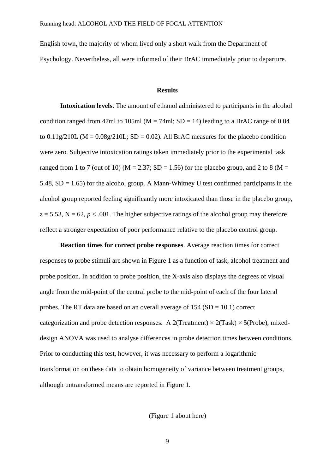English town, the majority of whom lived only a short walk from the Department of Psychology. Nevertheless, all were informed of their BrAC immediately prior to departure.

## **Results**

**Intoxication levels.** The amount of ethanol administered to participants in the alcohol condition ranged from 47ml to 105ml ( $M = 74$ ml; SD = 14) leading to a BrAC range of 0.04 to  $0.11g/210L$  (M =  $0.08g/210L$ ; SD = 0.02). All BrAC measures for the placebo condition were zero. Subjective intoxication ratings taken immediately prior to the experimental task ranged from 1 to 7 (out of 10) ( $M = 2.37$ ; SD = 1.56) for the placebo group, and 2 to 8 ( $M =$ 5.48, SD = 1.65) for the alcohol group. A Mann-Whitney U test confirmed participants in the alcohol group reported feeling significantly more intoxicated than those in the placebo group,  $z = 5.53$ ,  $N = 62$ ,  $p < .001$ . The higher subjective ratings of the alcohol group may therefore reflect a stronger expectation of poor performance relative to the placebo control group.

**Reaction times for correct probe responses**. Average reaction times for correct responses to probe stimuli are shown in Figure 1 as a function of task, alcohol treatment and probe position. In addition to probe position, the X-axis also displays the degrees of visual angle from the mid-point of the central probe to the mid-point of each of the four lateral probes. The RT data are based on an overall average of  $154 (SD = 10.1)$  correct categorization and probe detection responses. A 2(Treatment)  $\times$  2(Task)  $\times$  5(Probe), mixeddesign ANOVA was used to analyse differences in probe detection times between conditions. Prior to conducting this test, however, it was necessary to perform a logarithmic transformation on these data to obtain homogeneity of variance between treatment groups, although untransformed means are reported in Figure 1.

(Figure 1 about here)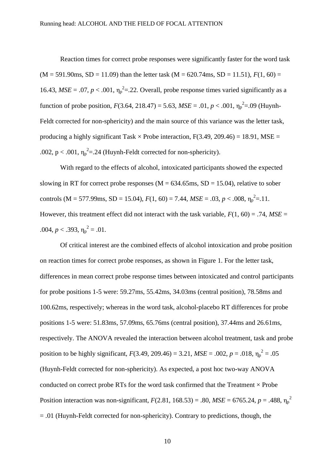Reaction times for correct probe responses were significantly faster for the word task  $(M = 591.90$ ms,  $SD = 11.09$ ) than the letter task  $(M = 620.74$ ms,  $SD = 11.51$ ),  $F(1, 60) =$ 16.43,  $MSE = .07$ ,  $p < .001$ ,  $\eta_p^2 = .22$ . Overall, probe response times varied significantly as a function of probe position,  $F(3.64, 218.47) = 5.63$ ,  $MSE = .01$ ,  $p < .001$ ,  $\eta_p^2 = .09$  (Huynh-Feldt corrected for non-sphericity) and the main source of this variance was the letter task, producing a highly significant Task  $\times$  Probe interaction, F(3.49, 209.46) = 18.91, MSE = .002,  $p < .001$ ,  $\eta_p^2 = .24$  (Huynh-Feldt corrected for non-sphericity).

With regard to the effects of alcohol, intoxicated participants showed the expected slowing in RT for correct probe responses ( $M = 634.65$ ms,  $SD = 15.04$ ), relative to sober controls (M = 577.99ms, SD = 15.04),  $F(1, 60) = 7.44$ ,  $MSE = .03$ ,  $p < .008$ ,  $\eta_p^2 = .11$ . However, this treatment effect did not interact with the task variable,  $F(1, 60) = .74$ ,  $MSE =$ .004,  $p < .393$ ,  $\eta_p^2 = .01$ .

Of critical interest are the combined effects of alcohol intoxication and probe position on reaction times for correct probe responses, as shown in Figure 1. For the letter task, differences in mean correct probe response times between intoxicated and control participants for probe positions 1-5 were: 59.27ms, 55.42ms, 34.03ms (central position), 78.58ms and 100.62ms, respectively; whereas in the word task, alcohol-placebo RT differences for probe positions 1-5 were: 51.83ms, 57.09ms, 65.76ms (central position), 37.44ms and 26.61ms, respectively. The ANOVA revealed the interaction between alcohol treatment, task and probe position to be highly significant,  $F(3.49, 209.46) = 3.21$ ,  $MSE = .002$ ,  $p = .018$ ,  $\eta_p^2 = .05$ (Huynh-Feldt corrected for non-sphericity). As expected, a post hoc two-way ANOVA conducted on correct probe RTs for the word task confirmed that the Treatment  $\times$  Probe Position interaction was non-significant,  $F(2.81, 168.53) = .80$ ,  $MSE = 6765.24$ ,  $p = .488$ ,  $\eta_p^2$ = .01 (Huynh-Feldt corrected for non-sphericity). Contrary to predictions, though, the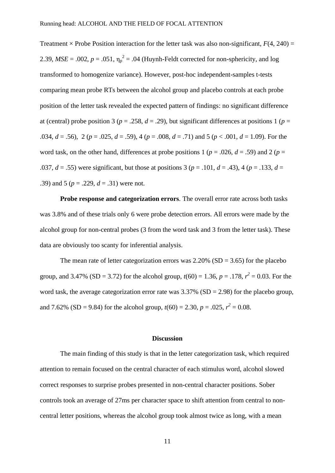Treatment  $\times$  Probe Position interaction for the letter task was also non-significant,  $F(4, 240) =$ 2.39,  $MSE = .002$ ,  $p = .051$ ,  $\eta_p^2 = .04$  (Huynh-Feldt corrected for non-sphericity, and log transformed to homogenize variance). However, post-hoc independent-samples t-tests comparing mean probe RTs between the alcohol group and placebo controls at each probe position of the letter task revealed the expected pattern of findings: no significant difference at (central) probe position 3 ( $p = 0.258$ ,  $d = 0.29$ ), but significant differences at positions 1 ( $p = 0$ .034,  $d = .56$ ), 2 ( $p = .025$ ,  $d = .59$ ), 4 ( $p = .008$ ,  $d = .71$ ) and 5 ( $p < .001$ ,  $d = 1.09$ ). For the word task, on the other hand, differences at probe positions 1 ( $p = .026$ ,  $d = .59$ ) and 2 ( $p =$ .037,  $d = .55$ ) were significant, but those at positions 3 ( $p = .101$ ,  $d = .43$ ), 4 ( $p = .133$ ,  $d = .133$ .39) and 5 (*p* = .229, *d* = .31) were not.

**Probe response and categorization errors**. The overall error rate across both tasks was 3.8% and of these trials only 6 were probe detection errors. All errors were made by the alcohol group for non-central probes (3 from the word task and 3 from the letter task). These data are obviously too scanty for inferential analysis.

The mean rate of letter categorization errors was  $2.20\%$  (SD = 3.65) for the placebo group, and 3.47% (SD = 3.72) for the alcohol group,  $t(60) = 1.36$ ,  $p = .178$ ,  $r^2 = 0.03$ . For the word task, the average categorization error rate was  $3.37\%$  (SD = 2.98) for the placebo group, and 7.62% (SD = 9.84) for the alcohol group,  $t(60) = 2.30$ ,  $p = .025$ ,  $r^2 = 0.08$ .

### **Discussion**

The main finding of this study is that in the letter categorization task, which required attention to remain focused on the central character of each stimulus word, alcohol slowed correct responses to surprise probes presented in non-central character positions. Sober controls took an average of 27ms per character space to shift attention from central to noncentral letter positions, whereas the alcohol group took almost twice as long, with a mean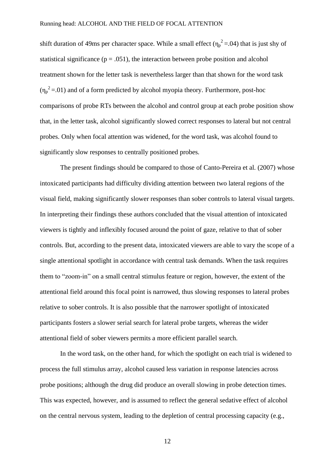shift duration of 49ms per character space. While a small effect  $(\eta_p^2 = 0.04)$  that is just shy of statistical significance ( $p = .051$ ), the interaction between probe position and alcohol treatment shown for the letter task is nevertheless larger than that shown for the word task  $(\eta_p^2 = 01)$  and of a form predicted by alcohol myopia theory. Furthermore, post-hoc comparisons of probe RTs between the alcohol and control group at each probe position show that, in the letter task, alcohol significantly slowed correct responses to lateral but not central probes. Only when focal attention was widened, for the word task, was alcohol found to significantly slow responses to centrally positioned probes.

The present findings should be compared to those of Canto-Pereira et al. (2007) whose intoxicated participants had difficulty dividing attention between two lateral regions of the visual field, making significantly slower responses than sober controls to lateral visual targets. In interpreting their findings these authors concluded that the visual attention of intoxicated viewers is tightly and inflexibly focused around the point of gaze, relative to that of sober controls. But, according to the present data, intoxicated viewers are able to vary the scope of a single attentional spotlight in accordance with central task demands. When the task requires them to "zoom-in" on a small central stimulus feature or region, however, the extent of the attentional field around this focal point is narrowed, thus slowing responses to lateral probes relative to sober controls. It is also possible that the narrower spotlight of intoxicated participants fosters a slower serial search for lateral probe targets, whereas the wider attentional field of sober viewers permits a more efficient parallel search.

In the word task, on the other hand, for which the spotlight on each trial is widened to process the full stimulus array, alcohol caused less variation in response latencies across probe positions; although the drug did produce an overall slowing in probe detection times. This was expected, however, and is assumed to reflect the general sedative effect of alcohol on the central nervous system, leading to the depletion of central processing capacity (e.g.,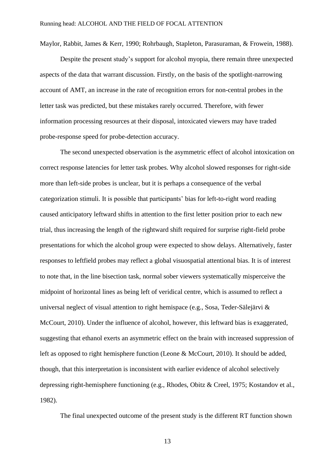Maylor, Rabbit, James & Kerr, 1990; Rohrbaugh, Stapleton, Parasuraman, & Frowein, 1988).

Despite the present study's support for alcohol myopia, there remain three unexpected aspects of the data that warrant discussion. Firstly, on the basis of the spotlight-narrowing account of AMT, an increase in the rate of recognition errors for non-central probes in the letter task was predicted, but these mistakes rarely occurred. Therefore, with fewer information processing resources at their disposal, intoxicated viewers may have traded probe-response speed for probe-detection accuracy.

The second unexpected observation is the asymmetric effect of alcohol intoxication on correct response latencies for letter task probes. Why alcohol slowed responses for right-side more than left-side probes is unclear, but it is perhaps a consequence of the verbal categorization stimuli. It is possible that participants' bias for left-to-right word reading caused anticipatory leftward shifts in attention to the first letter position prior to each new trial, thus increasing the length of the rightward shift required for surprise right-field probe presentations for which the alcohol group were expected to show delays. Alternatively, faster responses to leftfield probes may reflect a global visuospatial attentional bias. It is of interest to note that, in the line bisection task, normal sober viewers systematically misperceive the midpoint of horizontal lines as being left of veridical centre, which is assumed to reflect a universal neglect of visual attention to right hemispace (e.g., Sosa, Teder-Sälejärvi & McCourt, 2010). Under the influence of alcohol, however, this leftward bias is exaggerated, suggesting that ethanol exerts an asymmetric effect on the brain with increased suppression of left as opposed to right hemisphere function (Leone & McCourt, 2010). It should be added, though, that this interpretation is inconsistent with earlier evidence of alcohol selectively depressing right-hemisphere functioning (e.g., Rhodes, Obitz & Creel, 1975; Kostandov et al., 1982).

The final unexpected outcome of the present study is the different RT function shown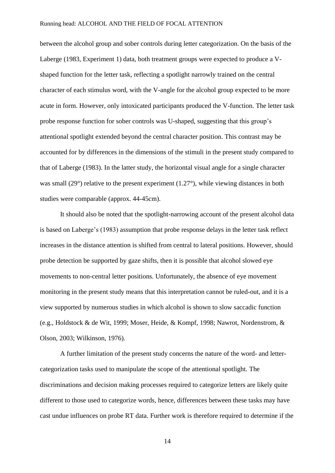between the alcohol group and sober controls during letter categorization. On the basis of the Laberge (1983, Experiment 1) data, both treatment groups were expected to produce a Vshaped function for the letter task, reflecting a spotlight narrowly trained on the central character of each stimulus word, with the V-angle for the alcohol group expected to be more acute in form. However, only intoxicated participants produced the V-function. The letter task probe response function for sober controls was U-shaped, suggesting that this group's attentional spotlight extended beyond the central character position. This contrast may be accounted for by differences in the dimensions of the stimuli in the present study compared to that of Laberge (1983). In the latter study, the horizontal visual angle for a single character was small (29°) relative to the present experiment (1.27°), while viewing distances in both studies were comparable (approx. 44-45cm).

It should also be noted that the spotlight-narrowing account of the present alcohol data is based on Laberge's (1983) assumption that probe response delays in the letter task reflect increases in the distance attention is shifted from central to lateral positions. However, should probe detection be supported by gaze shifts, then it is possible that alcohol slowed eye movements to non-central letter positions. Unfortunately, the absence of eye movement monitoring in the present study means that this interpretation cannot be ruled-out, and it is a view supported by numerous studies in which alcohol is shown to slow saccadic function (e.g., Holdstock & de Wit, 1999; Moser, Heide, & Kompf, 1998; Nawrot, Nordenstrom, & Olson, 2003; Wilkinson, 1976).

A further limitation of the present study concerns the nature of the word- and lettercategorization tasks used to manipulate the scope of the attentional spotlight. The discriminations and decision making processes required to categorize letters are likely quite different to those used to categorize words, hence, differences between these tasks may have cast undue influences on probe RT data. Further work is therefore required to determine if the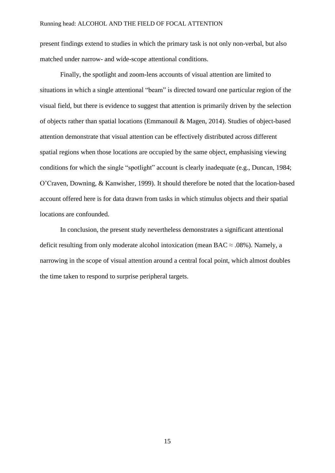present findings extend to studies in which the primary task is not only non-verbal, but also matched under narrow- and wide-scope attentional conditions.

Finally, the spotlight and zoom-lens accounts of visual attention are limited to situations in which a single attentional "beam" is directed toward one particular region of the visual field, but there is evidence to suggest that attention is primarily driven by the selection of objects rather than spatial locations (Emmanouil & Magen, 2014). Studies of object-based attention demonstrate that visual attention can be effectively distributed across different spatial regions when those locations are occupied by the same object, emphasising viewing conditions for which the single "spotlight" account is clearly inadequate (e.g., Duncan, 1984; O'Craven, Downing, & Kanwisher, 1999). It should therefore be noted that the location-based account offered here is for data drawn from tasks in which stimulus objects and their spatial locations are confounded.

In conclusion, the present study nevertheless demonstrates a significant attentional deficit resulting from only moderate alcohol intoxication (mean BAC  $\approx$  .08%). Namely, a narrowing in the scope of visual attention around a central focal point, which almost doubles the time taken to respond to surprise peripheral targets.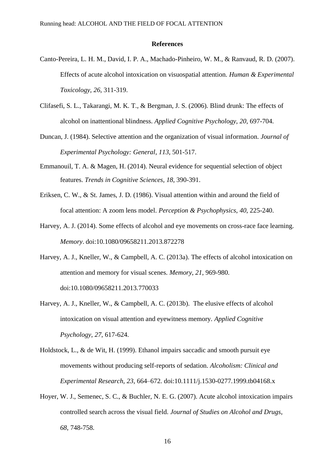#### **References**

- Canto-Pereira, L. H. M., David, I. P. A., Machado-Pinheiro, W. M., & Ranvaud, R. D. (2007). Effects of acute alcohol intoxication on visuospatial attention. *Human & Experimental Toxicology*, *26*, 311-319.
- Clifasefi, S. L., Takarangi, M. K. T., & Bergman, J. S. (2006). Blind drunk: The effects of alcohol on inattentional blindness. *Applied Cognitive Psychology*, *20*, 697-704.
- Duncan, J. (1984). Selective attention and the organization of visual information. *Journal of Experimental Psychology: General*, *113*, 501-517.
- Emmanouil, T. A. & Magen, H. (2014). Neural evidence for sequential selection of object features. *Trends in Cognitive Sciences*, *18*, 390-391.
- Eriksen, C. W., & St. James, J. D. (1986). Visual attention within and around the field of focal attention: A zoom lens model. *Perception & Psychophysics*, *40*, 225-240.
- Harvey, A. J. (2014). Some effects of alcohol and eye movements on cross-race face learning. *Memory*. doi:10.1080/09658211.2013.872278
- Harvey, A. J., Kneller, W., & Campbell, A. C. (2013a). The effects of alcohol intoxication on attention and memory for visual scenes. *Memory*, *21*, 969-980. doi:10.1080/09658211.2013.770033
- Harvey, A. J., Kneller, W., & Campbell, A. C. (2013b). The elusive effects of alcohol intoxication on visual attention and eyewitness memory. *Applied Cognitive Psychology*, *27*, 617-624.
- Holdstock, L., & de Wit, H. (1999). Ethanol impairs saccadic and smooth pursuit eye movements without producing self-reports of sedation. *Alcoholism: Clinical and Experimental Research*, *23*, 664–672. doi:10.1111/j.1530-0277.1999.tb04168.x
- Hoyer, W. J., Semenec, S. C., & Buchler, N. E. G. (2007). Acute alcohol intoxication impairs controlled search across the visual field. *Journal of Studies on Alcohol and Drugs*, *68*, 748-758.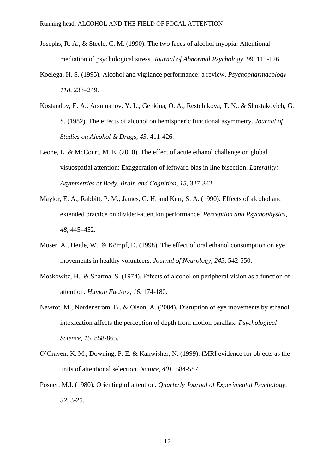- Josephs, R. A., & Steele, C. M. (1990). The two faces of alcohol myopia: Attentional mediation of psychological stress. *Journal of Abnormal Psychology*, 99, 115-126.
- Koelega, H. S. (1995). Alcohol and vigilance performance: a review. *Psychopharmacology 118*, 233–249.
- Kostandov, E. A., Arsumanov, Y. L., Genkina, O. A., Restchikova, T. N., & Shostakovich, G. S. (1982). The effects of alcohol on hemispheric functional asymmetry. *Journal of Studies on Alcohol & Drugs*, *43*, 411-426.
- Leone, L. & McCourt, M. E. (2010). The effect of acute ethanol challenge on global visuospatial attention: Exaggeration of leftward bias in line bisection. *Laterality: Asymmetries of Body, Brain and Cognition*, *15*, 327-342.
- Maylor, E. A., Rabbitt, P. M., James, G. H. and Kerr, S. A. (1990). Effects of alcohol and extended practice on divided-attention performance. *Perception and Psychophysics*, *48*, 445–452.
- Moser, A., Heide, W., & Kömpf, D. (1998). The effect of oral ethanol consumption on eye movements in healthy volunteers. *Journal of Neurology*, *245*, 542-550.
- Moskowitz, H., & Sharma, S. (1974). Effects of alcohol on peripheral vision as a function of attention. *Human Factors*, *16*, 174-180.
- Nawrot, M., Nordenstrom, B., & Olson, A. (2004). Disruption of eye movements by ethanol intoxication affects the perception of depth from motion parallax. *Psychological Science*, *15*, 858-865.
- O'Craven, K. M., Downing, P. E. & Kanwisher, N. (1999). fMRI evidence for objects as the units of attentional selection. *Nature*, *401*, 584-587.
- Posner, M.I. (1980). Orienting of attention. *Quarterly Journal of Experimental Psychology*, *32*, 3-25.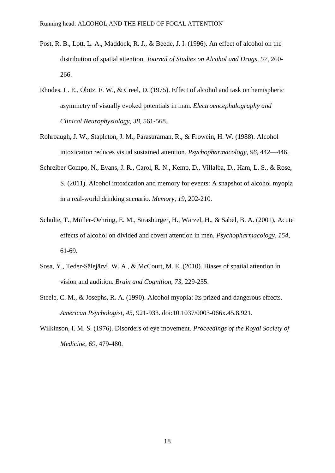- Post, R. B., Lott, L. A., Maddock, R. J., & Beede, J. I. (1996). An effect of alcohol on the distribution of spatial attention. *Journal of Studies on Alcohol and Drugs*, *57*, 260- 266.
- Rhodes, L. E., Obitz, F. W., & Creel, D. (1975). Effect of alcohol and task on hemispheric asymmetry of visually evoked potentials in man. *Electroencephalography and Clinical Neurophysiology*, *38*, 561-568.
- Rohrbaugh, J. W., Stapleton, J. M., Parasuraman, R., & Frowein, H. W. (1988). Alcohol intoxication reduces visual sustained attention. *Psychopharmacology*, *96*, 442—446.
- Schreiber Compo, N., Evans, J. R., Carol, R. N., Kemp, D., Villalba, D., Ham, L. S., & Rose, S. (2011). Alcohol intoxication and memory for events: A snapshot of alcohol myopia in a real-world drinking scenario. *Memory*, *19*, 202-210.
- Schulte, T., Müller-Oehring, E. M., Strasburger, H., Warzel, H., & Sabel, B. A. (2001). Acute effects of alcohol on divided and covert attention in men. *Psychopharmacology*, *154*, 61-69.
- Sosa, Y., Teder-Sälejärvi, W. A., & McCourt, M. E. (2010). Biases of spatial attention in vision and audition. *Brain and Cognition*, *73*, 229-235.
- Steele, C. M., & Josephs, R. A. (1990). Alcohol myopia: Its prized and dangerous effects. *American Psychologist, 45*, 921-933. doi:10.1037/0003-066x.45.8.921.
- Wilkinson, I. M. S. (1976). Disorders of eye movement. *Proceedings of the Royal Society of Medicine*, *69*, 479-480.